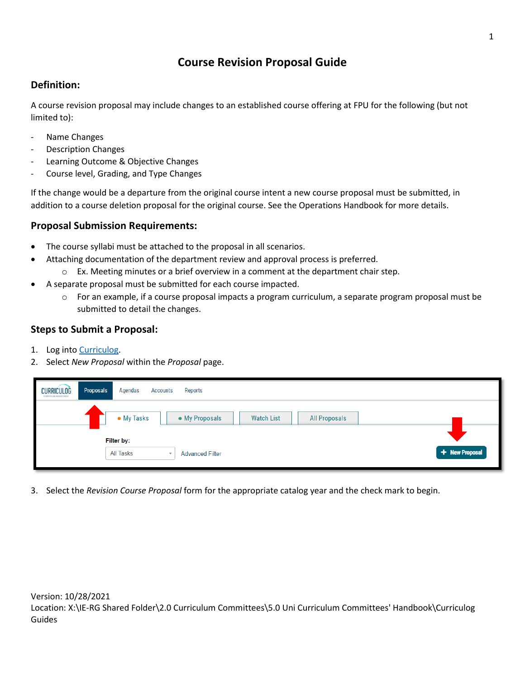# **Course Revision Proposal Guide**

## **Definition:**

A course revision proposal may include changes to an established course offering at FPU for the following (but not limited to):

- Name Changes
- Description Changes
- Learning Outcome & Objective Changes
- Course level, Grading, and Type Changes

If the change would be a departure from the original course intent a new course proposal must be submitted, in addition to a course deletion proposal for the original course. See the Operations Handbook for more details.

## **Proposal Submission Requirements:**

- The course syllabi must be attached to the proposal in all scenarios.
- Attaching documentation of the department review and approval process is preferred.
	- $\circ$  Ex. Meeting minutes or a brief overview in a comment at the department chair step.
- A separate proposal must be submitted for each course impacted.
	- o For an example, if a course proposal impacts a program curriculum, a separate program proposal must be submitted to detail the changes.

#### **Steps to Submit a Proposal:**

- 1. Log into [Curriculog.](https://floridapolytechnic.curriculog.com/)
- 2. Select *New Proposal* within the *Proposal* page.

| <b>CURRICULOG</b><br><b>CORRICOLUM MANAGEMENT</b> | Proposals<br>Agendas<br>Accounts | Reports                                                     |                |
|---------------------------------------------------|----------------------------------|-------------------------------------------------------------|----------------|
|                                                   | • My Tasks                       | • My Proposals<br><b>Watch List</b><br><b>All Proposals</b> |                |
|                                                   | Filter by:                       |                                                             |                |
|                                                   | <b>All Tasks</b>                 | <b>Advanced Filter</b>                                      | + New Proposal |

3. Select the *Revision Course Proposal* form for the appropriate catalog year and the check mark to begin.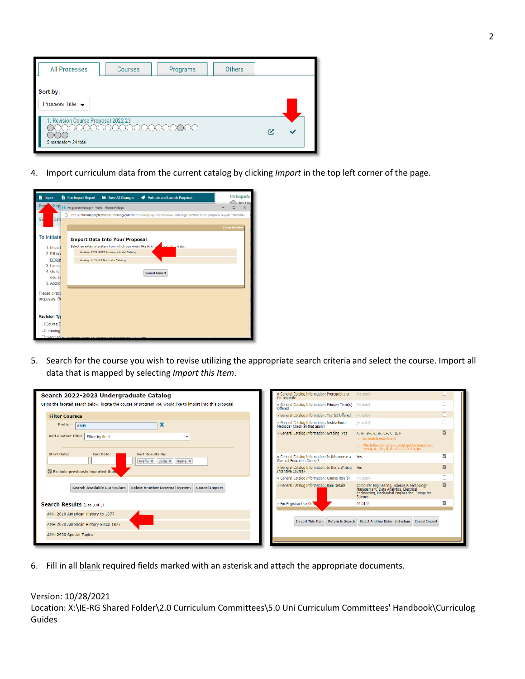| <b>All Processes</b>                                        | <b>Courses</b>       | Programs | <b>Others</b> |  |  |
|-------------------------------------------------------------|----------------------|----------|---------------|--|--|
| Sort by:<br>Process Title $\rightarrow$                     |                      |          |               |  |  |
| 1. Revision Course Proposal 2022-23<br>5 mandatory 24 total | 00000000000000000000 |          |               |  |  |

4. Import curriculum data from the current catalog by clicking *Import* in the top left corner of the page.



5. Search for the course you wish to revise utilizing the appropriate search criteria and select the course. Import all data that is mapped by selecting *Import this Item*.

| Search 2022-2023 Undergraduate Catalog                                                                                 | » General Catalog Information: Prerequisite or<br>[no data]<br>Co-requisite                                                                                                                     |   |  |  |
|------------------------------------------------------------------------------------------------------------------------|-------------------------------------------------------------------------------------------------------------------------------------------------------------------------------------------------|---|--|--|
| Using the faceted search below, locate the course or program you would like to import into this proposal.              | » General Catalog Information: Primary Term(s) [no data]<br>Offered                                                                                                                             |   |  |  |
| <b>Filter Courses</b>                                                                                                  | » General Catalog Information: Year(s) Offered<br>Ino datal                                                                                                                                     |   |  |  |
| Prefix = $\vert$ AMH                                                                                                   | » General Catalog Information: Instructional<br>Methods (Check all that apply)<br>Ino data1                                                                                                     |   |  |  |
| Add another filter<br>Filter by field<br>$\check{ }$                                                                   | » General Catalog Information: Grading Type<br>A, A-, B+, B, B-, C+, C, D, F<br>o No match was found                                                                                            | Ø |  |  |
|                                                                                                                        | o The following option could not be imported:<br>$\langle p \rangle A$ , A-, B+, B, B-, C+, C, D, F $\langle p \rangle$                                                                         |   |  |  |
| <b>Sort Results By:</b><br><b>Start Date:</b><br><b>End Date:</b><br>Prefix X Code X Name X                            | » General Catalog Information: Is this course a<br>Yes<br><b>General Education Course?</b>                                                                                                      | V |  |  |
| Exclude previously imported item                                                                                       | » General Catalog Information: Is this a Writing Yes<br>Intensive Course?                                                                                                                       |   |  |  |
|                                                                                                                        | » General Catalog Information: Course Role(s)<br>[no data]                                                                                                                                      |   |  |  |
| Search Available Curriculum   Select Another External System   Cancel Import                                           | » General Catalog Information: Role Details<br>Computer Engineering, Science & Technology<br>Management, Data Analytics, Electrical<br>Engineering, Mechanical Engineering, Computer<br>Science | Ø |  |  |
| Search Results (1 to 3 of 3)                                                                                           | » For Registrar Use Only<br>54.0102                                                                                                                                                             | v |  |  |
| AMH 2010 American History to 1877                                                                                      |                                                                                                                                                                                                 |   |  |  |
| Import This Item Return to Search Select Another External System Cancel Import<br>AMH 2020 American History Since 1877 |                                                                                                                                                                                                 |   |  |  |
| AMH 2930 Special Topics                                                                                                |                                                                                                                                                                                                 |   |  |  |
|                                                                                                                        |                                                                                                                                                                                                 |   |  |  |

6. Fill in all blank required fields marked with an asterisk and attach the appropriate documents.

#### Version: 10/28/2021

Location: X:\IE-RG Shared Folder\2.0 Curriculum Committees\5.0 Uni Curriculum Committees' Handbook\Curriculog Guides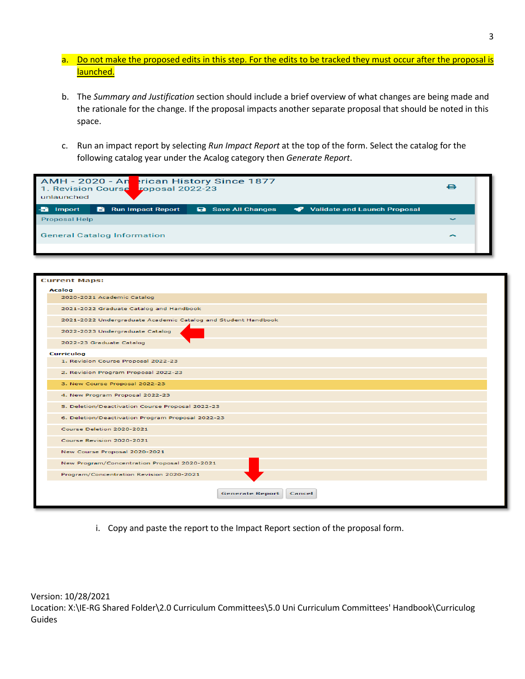- a. Do not make the proposed edits in this step. For the edits to be tracked they must occur after the proposal is launched.
- b. The *Summary and Justification* section should include a brief overview of what changes are being made and the rationale for the change. If the proposal impacts another separate proposal that should be noted in this space.
- c. Run an impact report by selecting *Run Impact Report* at the top of the form. Select the catalog for the following catalog year under the Acalog category then *Generate Report*.

| AMH - 2020 - Anterican History Since 1877<br>1. Revision Course roposal 2022-23<br>unlaunched |                                |                           |                              |            |
|-----------------------------------------------------------------------------------------------|--------------------------------|---------------------------|------------------------------|------------|
| <b>Import</b>                                                                                 | <b>Run Impact Report</b><br>6. | <b>a</b> Save All Changes | Validate and Launch Proposal |            |
| <b>Proposal Help</b>                                                                          |                                |                           |                              | $\tilde{}$ |
| <b>General Catalog Information</b>                                                            |                                |                           |                              | ∽          |
|                                                                                               |                                |                           |                              |            |

| <b>Current Maps:</b>                                          |  |  |  |  |  |  |
|---------------------------------------------------------------|--|--|--|--|--|--|
| Acalog                                                        |  |  |  |  |  |  |
| 2020-2021 Academic Catalog                                    |  |  |  |  |  |  |
| 2021-2022 Graduate Catalog and Handbook                       |  |  |  |  |  |  |
| 2021-2022 Undergraduate Academic Catalog and Student Handbook |  |  |  |  |  |  |
| 2022-2023 Undergraduate Catalog                               |  |  |  |  |  |  |
| 2022-23 Graduate Catalog                                      |  |  |  |  |  |  |
| <b>Curriculog</b>                                             |  |  |  |  |  |  |
| 1. Revision Course Proposal 2022-23                           |  |  |  |  |  |  |
| 2. Revision Program Proposal 2022-23                          |  |  |  |  |  |  |
| 3. New Course Proposal 2022-23                                |  |  |  |  |  |  |
| 4. New Program Proposal 2022-23                               |  |  |  |  |  |  |
| 5. Deletion/Deactivation Course Proposal 2022-23              |  |  |  |  |  |  |
| 6. Deletion/Deactivation Program Proposal 2022-23             |  |  |  |  |  |  |
| Course Deletion 2020-2021                                     |  |  |  |  |  |  |
| Course Revision 2020-2021                                     |  |  |  |  |  |  |
| New Course Proposal 2020-2021                                 |  |  |  |  |  |  |
| New Program/Concentration Proposal 2020-2021                  |  |  |  |  |  |  |
| Program/Concentration Revision 2020-2021                      |  |  |  |  |  |  |
| <b>Generate Report</b><br>Cancel                              |  |  |  |  |  |  |

i. Copy and paste the report to the Impact Report section of the proposal form.

Version: 10/28/2021 Location: X:\IE-RG Shared Folder\2.0 Curriculum Committees\5.0 Uni Curriculum Committees' Handbook\Curriculog Guides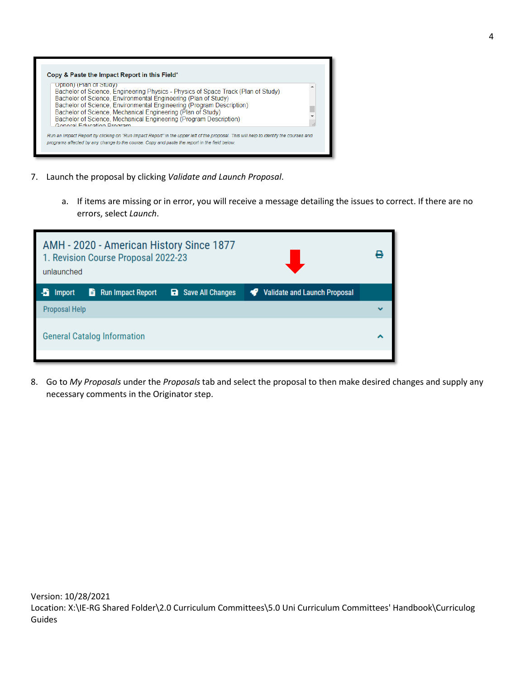| Uption) (Plan of Study)                                                                        | Bachelor of Science, Engineering Physics - Physics of Space Track (Plan of Study) |  |
|------------------------------------------------------------------------------------------------|-----------------------------------------------------------------------------------|--|
| Bachelor of Science, Environmental Engineering (Plan of Study)                                 | Bachelor of Science, Environmental Engineering (Program Description)              |  |
| Bachelor of Science, Mechanical Engineering (Plan of Study)                                    |                                                                                   |  |
| Bachelor of Science, Mechanical Engineering (Program Description)<br>Conoral Education Drogram |                                                                                   |  |

- 7. Launch the proposal by clicking *Validate and Launch Proposal*.
	- a. If items are missing or in error, you will receive a message detailing the issues to correct. If there are no errors, select *Launch*.

| AMH - 2020 - American History Since 1877<br>1. Revision Course Proposal 2022-23<br>unlaunched                 |   |  |  |
|---------------------------------------------------------------------------------------------------------------|---|--|--|
| $\frac{1}{2}$ Run Impact Report<br><b>a</b> Save All Changes<br>Validate and Launch Proposal<br><b>Import</b> |   |  |  |
| Proposal Help                                                                                                 | w |  |  |
| <b>General Catalog Information</b>                                                                            |   |  |  |

8. Go to *My Proposals* under the *Proposals* tab and select the proposal to then make desired changes and supply any necessary comments in the Originator step.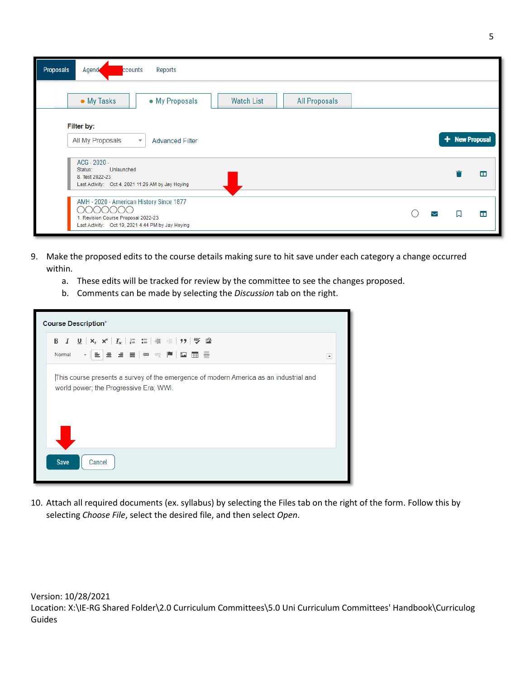| <b>Proposals</b><br>Agend<br>Reports<br>ccounts                                                                                               |   |                |   |
|-----------------------------------------------------------------------------------------------------------------------------------------------|---|----------------|---|
| • My Tasks<br>• My Proposals<br><b>Watch List</b><br><b>All Proposals</b>                                                                     |   |                |   |
| Filter by:<br>All My Proposals<br><b>Advanced Filter</b><br>$\overline{\mathbf{v}}$                                                           |   | + New Proposal |   |
| ACG - 2020 -<br>Unlaunched<br>Status:<br>8. Test 2022-23<br>Last Activity: Oct 4, 2021 11:26 AM by Jay Hoying                                 |   |                | ш |
| AMH - 2020 - American History Since 1877<br>( ) (<br>1. Revision Course Proposal 2022-23<br>Last Activity: Oct 19, 2021 4:44 PM by Jay Hoying | M |                | ш |

- 9. Make the proposed edits to the course details making sure to hit save under each category a change occurred within.
	- a. These edits will be tracked for review by the committee to see the changes proposed.
	- b. Comments can be made by selecting the *Discussion* tab on the right.

| <b>Course Description*</b>                                                                                                      |   |  |  |  |
|---------------------------------------------------------------------------------------------------------------------------------|---|--|--|--|
|                                                                                                                                 |   |  |  |  |
| ▔ <sub>▝</sub> ▕▅▕▅▕▅▏▆▏▓▏▓▏▓▏█▌▜▅<br>Normal                                                                                    | × |  |  |  |
| This course presents a survey of the emergence of modern America as an industrial and<br>world power; the Progressive Era; WWI. |   |  |  |  |
| <b>Save</b><br>Cancel                                                                                                           |   |  |  |  |

10. Attach all required documents (ex. syllabus) by selecting the Files tab on the right of the form. Follow this by selecting *Choose File*, select the desired file, and then select *Open*.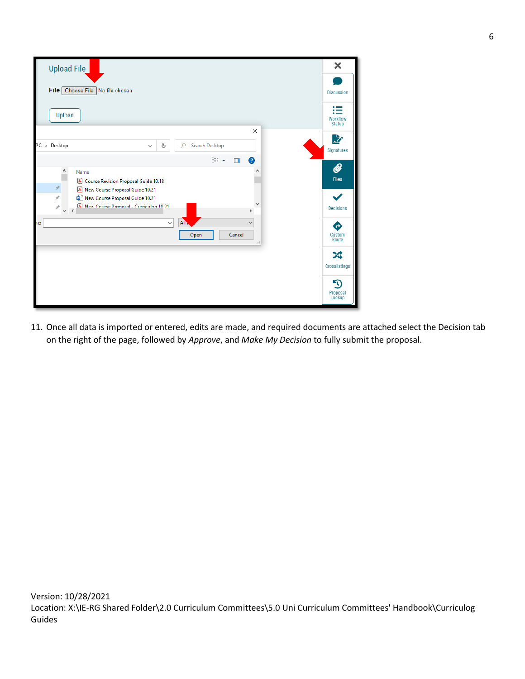| <b>Upload File</b>                                                                                                                                                                            | ×                              |
|-----------------------------------------------------------------------------------------------------------------------------------------------------------------------------------------------|--------------------------------|
| File <sub>1</sub><br>Choose File No file chosen                                                                                                                                               | <b>Discussion</b>              |
| Upload                                                                                                                                                                                        | ≔<br>Workflow<br><b>Status</b> |
| $\times$<br>PC > Desktop<br>Search Desktop<br>Ō<br>$\Omega$<br>$\checkmark$                                                                                                                   | 兦<br>Signatures                |
| $\bullet$<br>明:▼<br>$\Box$<br>٨<br>۸<br>Name<br>& Course Revision Proposal Guide 10.18<br>$\mathcal{R}$                                                                                       | $\mathscr{O}$<br><b>Files</b>  |
| A New Course Proposal Guide 10.21<br>$\mathcal{R}$<br>New Course Proposal Guide 10.21<br>٧<br>A New Course Pronosal - Curriculon 10.21<br>$\mathcal{R}$<br>$\checkmark$<br>$\,$<br>$\epsilon$ | <b>Decisions</b>               |
| All<br>$\checkmark$<br>$\checkmark$<br>ie:<br>Cancel<br>Open<br>$\ldots$                                                                                                                      | Ð<br>Custom<br>Route           |
|                                                                                                                                                                                               | ぷ<br>Crosslistings             |
|                                                                                                                                                                                               | უ<br>Proposal<br>Lookup        |

11. Once all data is imported or entered, edits are made, and required documents are attached select the Decision tab on the right of the page, followed by *Approve*, and *Make My Decision* to fully submit the proposal.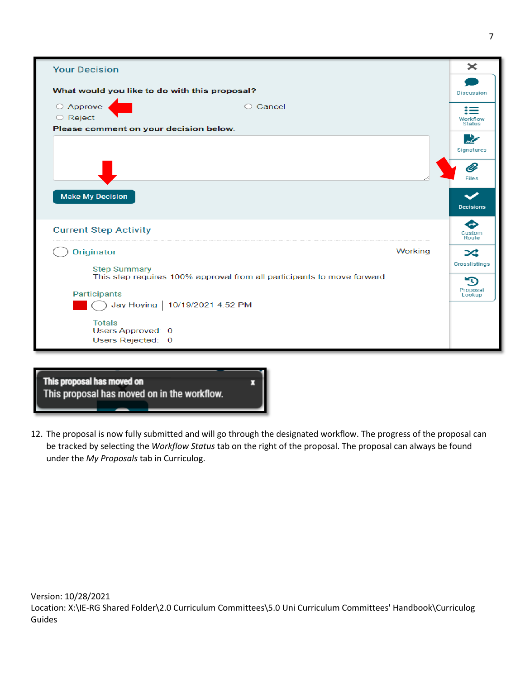

| This proposal has moved on<br>This proposal has moved on in the workflow. |  |  |  |  |
|---------------------------------------------------------------------------|--|--|--|--|
|                                                                           |  |  |  |  |

12. The proposal is now fully submitted and will go through the designated workflow. The progress of the proposal can be tracked by selecting the *Workflow Status* tab on the right of the proposal. The proposal can always be found under the *My Proposals* tab in Curriculog.